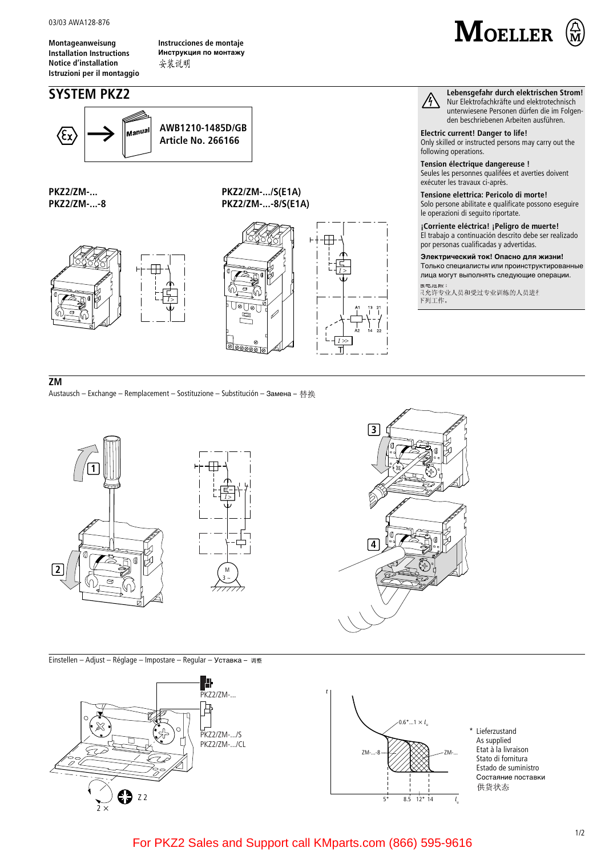03/03 AWA128-876

Montageanweisung **Installation Instructions Notice d'installation** Istruzioni per il montaggio Instrucciones de montaje Инструкция по монтажу 安装说明

AWB1210-1485D/GB

**Article No. 266166** 

## **SYSTEM PKZ2**

sanua



Lebensgefahr durch elektrischen Strom! Nur Elektrofachkräfte und elektrotechnisch unterwiesene Personen dürfen die im Folgenden beschriebenen Arbeiten ausführen.

**Electric current! Danger to life!** Only skilled or instructed persons may carry out the following operations.

Tension électrique dangereuse ! Seules les personnes qualifées et averties doivent

 $/$ 

exécuter les travaux ci-après. Tensione elettrica: Pericolo di morte! Solo persone abilitate e qualificate possono eseguire

le operazioni di seguito riportate. ¡Corriente eléctrica! ¡Peligro de muerte! El trabajo a continuación descrito debe ser realizado por personas cualificadas y advertidas.

Электрический ток! Опасно для жизни! Только специалисты или проинструктированные лица могут выполнять следующие операции.

<sub>異 吧 厄 唑</sub> :<br>-<br>- 1 允许专业人员和受过专业训练的人员进行 下列工作。

**PKZ2/ZM-...** PKZ2/ZM-...-8

(ξχ

PKZ2/ZM-.../S(E1A) PKZ2/ZM-...-8/S(E1A)





## $\overline{Z}M$

Austausch - Exchange - Remplacement - Sostituzione - Substitución - Замена - 替换



Einstellen - Adjust - Réglage - Impostare - Regular - Уставка - 调整





 $\sqrt{3}$ 

 $\overline{4}$ 

Lieferzustand As supplied Etat à la livraison Stato di fornitura Estado de suministro Состаяние поставки 供货状态

For PKZ2 Sales and Support call KMparts.com (866) 595-9616